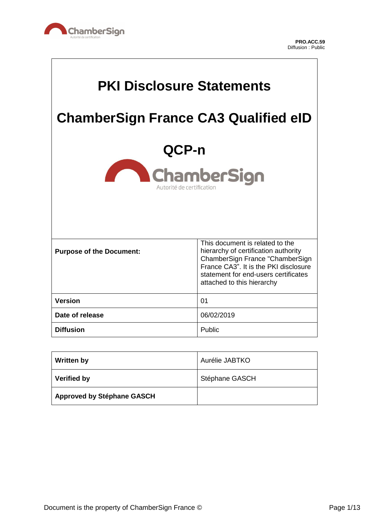

 $\overline{\mathsf{L}}$ 

| <b>PKI Disclosure Statements</b>                |                                                                                                                                                                                                                           |
|-------------------------------------------------|---------------------------------------------------------------------------------------------------------------------------------------------------------------------------------------------------------------------------|
|                                                 |                                                                                                                                                                                                                           |
| <b>ChamberSign France CA3 Qualified eID</b>     |                                                                                                                                                                                                                           |
| QCP-n                                           |                                                                                                                                                                                                                           |
| <b>ChamberSign</b><br>Autorité de certification |                                                                                                                                                                                                                           |
|                                                 |                                                                                                                                                                                                                           |
| <b>Purpose of the Document:</b>                 | This document is related to the<br>hierarchy of certification authority<br>ChamberSign France "ChamberSign<br>France CA3". It is the PKI disclosure<br>statement for end-users certificates<br>attached to this hierarchy |
| <b>Version</b>                                  | 01                                                                                                                                                                                                                        |
| Date of release                                 | 06/02/2019                                                                                                                                                                                                                |
| <b>Diffusion</b>                                | Public                                                                                                                                                                                                                    |

| <b>Written by</b>                 | Aurélie JABTKO |
|-----------------------------------|----------------|
| <b>Verified by</b>                | Stéphane GASCH |
| <b>Approved by Stéphane GASCH</b> |                |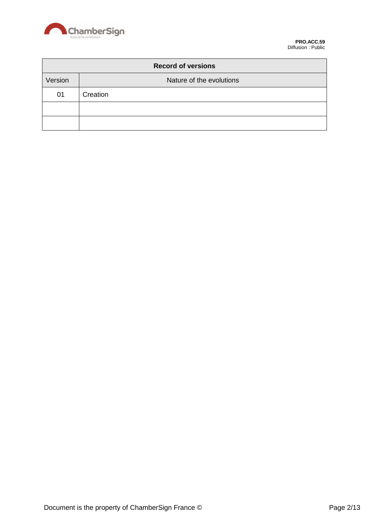

| <b>Record of versions</b> |                          |
|---------------------------|--------------------------|
| Version                   | Nature of the evolutions |
| 01                        | Creation                 |
|                           |                          |
|                           |                          |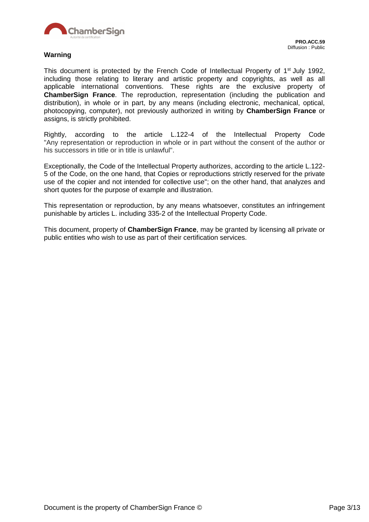

#### **Warning**

This document is protected by the French Code of Intellectual Property of 1<sup>st</sup> July 1992, including those relating to literary and artistic property and copyrights, as well as all applicable international conventions. These rights are the exclusive property of **ChamberSign France**. The reproduction, representation (including the publication and distribution), in whole or in part, by any means (including electronic, mechanical, optical, photocopying, computer), not previously authorized in writing by **ChamberSign France** or assigns, is strictly prohibited.

Rightly, according to the article L.122-4 of the Intellectual Property Code "Any representation or reproduction in whole or in part without the consent of the author or his successors in title or in title is unlawful".

Exceptionally, the Code of the Intellectual Property authorizes, according to the article L.122- 5 of the Code, on the one hand, that Copies or reproductions strictly reserved for the private use of the copier and not intended for collective use"; on the other hand, that analyzes and short quotes for the purpose of example and illustration.

This representation or reproduction, by any means whatsoever, constitutes an infringement punishable by articles L. including 335-2 of the Intellectual Property Code.

This document, property of **ChamberSign France**, may be granted by licensing all private or public entities who wish to use as part of their certification services.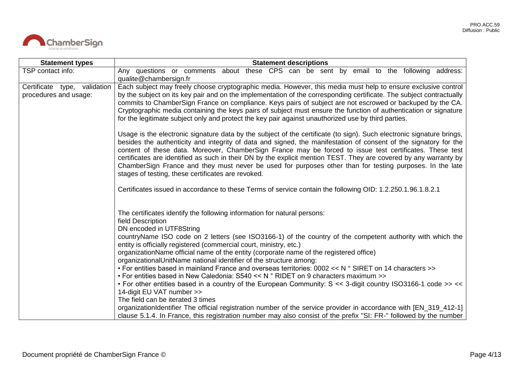

| <b>Statement types</b>       | <b>Statement descriptions</b>                                                                                                                                                                                                |
|------------------------------|------------------------------------------------------------------------------------------------------------------------------------------------------------------------------------------------------------------------------|
| TSP contact info:            | Any questions or comments about these CPS can be sent by email to the following address:<br>qualite@chambersign.fr                                                                                                           |
| Certificate type, validation | Each subject may freely choose cryptographic media. However, this media must help to ensure exclusive control                                                                                                                |
| procedures and usage:        | by the subject on its key pair and on the implementation of the corresponding certificate. The subject contractually                                                                                                         |
|                              | commits to ChamberSign France on compliance. Keys pairs of subject are not escrowed or backuped by the CA.                                                                                                                   |
|                              | Cryptographic media containing the keys pairs of subject must ensure the function of authentication or signature                                                                                                             |
|                              | for the legitimate subject only and protect the key pair against unauthorized use by third parties.                                                                                                                          |
|                              | Usage is the electronic signature data by the subject of the certificate (to sign). Such electronic signature brings,                                                                                                        |
|                              | besides the authenticity and integrity of data and signed, the manifestation of consent of the signatory for the<br>content of these data. Moreover, ChamberSign France may be forced to issue test certificates. These test |
|                              | certificates are identified as such in their DN by the explicit mention TEST. They are covered by any warranty by                                                                                                            |
|                              | ChamberSign France and they must never be used for purposes other than for testing purposes. In the late                                                                                                                     |
|                              | stages of testing, these certificates are revoked.                                                                                                                                                                           |
|                              |                                                                                                                                                                                                                              |
|                              | Certificates issued in accordance to these Terms of service contain the following OID: 1.2.250.1.96.1.8.2.1                                                                                                                  |
|                              |                                                                                                                                                                                                                              |
|                              | The certificates identify the following information for natural persons:                                                                                                                                                     |
|                              | field Description                                                                                                                                                                                                            |
|                              | DN encoded in UTF8String                                                                                                                                                                                                     |
|                              | countryName ISO code on 2 letters (see ISO3166-1) of the country of the competent authority with which the                                                                                                                   |
|                              | entity is officially registered (commercial court, ministry, etc.)<br>organizationName official name of the entity (corporate name of the registered office)                                                                 |
|                              | organizationalUnitName national identifier of the structure among:                                                                                                                                                           |
|                              | • For entities based in mainland France and overseas territories: 0002 << N ° SIRET on 14 characters >>                                                                                                                      |
|                              | • For entities based in New Caledonia: S540 << N ° RIDET on 9 characters maximum >>                                                                                                                                          |
|                              | • For other entities based in a country of the European Community: S << 3-digit country ISO3166-1 code >> <<                                                                                                                 |
|                              | 14-digit EU VAT number >>                                                                                                                                                                                                    |
|                              | The field can be iterated 3 times                                                                                                                                                                                            |
|                              | organizationIdentifier The official registration number of the service provider in accordance with [EN_319_412-1]                                                                                                            |
|                              | clause 5.1.4. In France, this registration number may also consist of the prefix "SI: FR-" followed by the number                                                                                                            |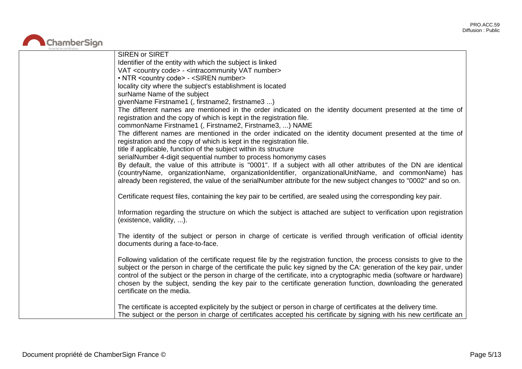

| SIREN or SIRET                                                                                                         |
|------------------------------------------------------------------------------------------------------------------------|
| Identifier of the entity with which the subject is linked                                                              |
| VAT <country code=""> - <intracommunity number="" vat=""></intracommunity></country>                                   |
| • NTR <country code=""> - <siren number=""></siren></country>                                                          |
| locality city where the subject's establishment is located                                                             |
| surName Name of the subject                                                                                            |
| givenName Firstname1 (, firstname2, firstname3 )                                                                       |
| The different names are mentioned in the order indicated on the identity document presented at the time of             |
| registration and the copy of which is kept in the registration file.                                                   |
| commonName Firstname1 (, Firstname2, Firstname3, ) NAME                                                                |
| The different names are mentioned in the order indicated on the identity document presented at the time of             |
| registration and the copy of which is kept in the registration file.                                                   |
| title if applicable, function of the subject within its structure                                                      |
| serialNumber 4-digit sequential number to process homonymy cases                                                       |
| By default, the value of this attribute is "0001". If a subject with all other attributes of the DN are identical      |
| (countryName, organizationName, organizationIdentifier, organizationalUnitName, and commonName) has                    |
| already been registered, the value of the serialNumber attribute for the new subject changes to "0002" and so on.      |
|                                                                                                                        |
| Certificate request files, containing the key pair to be certified, are sealed using the corresponding key pair.       |
|                                                                                                                        |
| Information regarding the structure on which the subject is attached are subject to verification upon registration     |
| (existence, validity, ).                                                                                               |
|                                                                                                                        |
| The identity of the subject or person in charge of certicate is verified through verification of official identity     |
| documents during a face-to-face.                                                                                       |
|                                                                                                                        |
| Following validation of the certificate request file by the registration function, the process consists to give to the |
| subject or the person in charge of the certificate the pulic key signed by the CA: generation of the key pair, under   |
| control of the subject or the person in charge of the certificate, into a cryptographic media (software or hardware)   |
| chosen by the subject, sending the key pair to the certificate generation function, downloading the generated          |
| certificate on the media.                                                                                              |
|                                                                                                                        |
| The certificate is accepted explicitely by the subject or person in charge of certificates at the delivery time.       |
| The subject or the person in charge of certificates accepted his certificate by signing with his new certificate an    |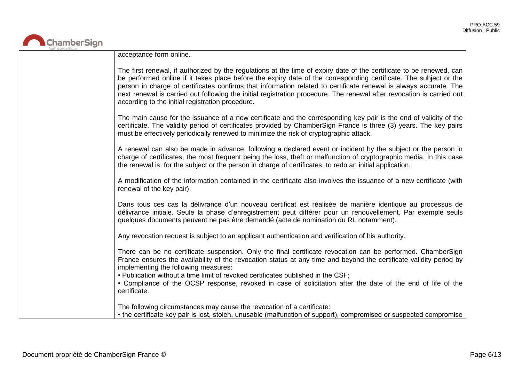

| acceptance form online. |  |
|-------------------------|--|
|                         |  |

The first renewal, if authorized by the regulations at the time of expiry date of the certificate to be renewed, can be performed online if it takes place before the expiry date of the corresponding certificate. The subject or the person in charge of certificates confirms that information related to certificate renewal is always accurate. The next renewal is carried out following the initial registration procedure. The renewal after revocation is carried out according to the initial registration procedure.

The main cause for the issuance of a new certificate and the corresponding key pair is the end of validity of the certificate. The validity period of certificates provided by ChamberSign France is three (3) years. The key pairs must be effectively periodically renewed to minimize the risk of cryptographic attack.

A renewal can also be made in advance, following a declared event or incident by the subject or the person in charge of certificates, the most frequent being the loss, theft or malfunction of cryptographic media. In this case the renewal is, for the subject or the person in charge of certificates, to redo an initial application.

A modification of the information contained in the certificate also involves the issuance of a new certificate (with renewal of the key pair).

Dans tous ces cas la délivrance d'un nouveau certificat est réalisée de manière identique au processus de délivrance initiale. Seule la phase d'enregistrement peut différer pour un renouvellement. Par exemple seuls quelques documents peuvent ne pas être demandé (acte de nomination du RL notamment).

Any revocation request is subject to an applicant authentication and verification of his authority.

There can be no certificate suspension. Only the final certificate revocation can be performed. ChamberSign France ensures the availability of the revocation status at any time and beyond the certificate validity period by implementing the following measures:

• Publication without a time limit of revoked certificates published in the CSF;

• Compliance of the OCSP response, revoked in case of solicitation after the date of the end of life of the certificate.

The following circumstances may cause the revocation of a certificate:

• the certificate key pair is lost, stolen, unusable (malfunction of support), compromised or suspected compromise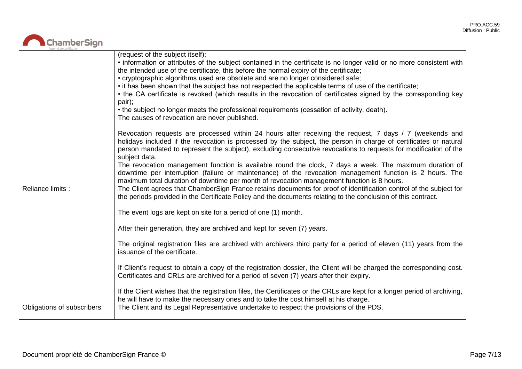# ChamberSign

|                             | (request of the subject itself);                                                                                                                                                                                                    |
|-----------------------------|-------------------------------------------------------------------------------------------------------------------------------------------------------------------------------------------------------------------------------------|
|                             | • information or attributes of the subject contained in the certificate is no longer valid or no more consistent with<br>the intended use of the certificate, this before the normal expiry of the certificate;                     |
|                             | • cryptographic algorithms used are obsolete and are no longer considered safe;                                                                                                                                                     |
|                             | • it has been shown that the subject has not respected the applicable terms of use of the certificate;                                                                                                                              |
|                             | • the CA certificate is revoked (which results in the revocation of certificates signed by the corresponding key                                                                                                                    |
|                             | pair);                                                                                                                                                                                                                              |
|                             | • the subject no longer meets the professional requirements (cessation of activity, death).                                                                                                                                         |
|                             | The causes of revocation are never published.                                                                                                                                                                                       |
|                             | Revocation requests are processed within 24 hours after receiving the request, 7 days / 7 (weekends and<br>holidays included if the revocation is processed by the subject, the person in charge of certificates or natural         |
|                             | person mandated to represent the subject), excluding consecutive revocations to requests for modification of the<br>subject data.                                                                                                   |
|                             | The revocation management function is available round the clock, 7 days a week. The maximum duration of                                                                                                                             |
|                             | downtime per interruption (failure or maintenance) of the revocation management function is 2 hours. The                                                                                                                            |
|                             | maximum total duration of downtime per month of revocation management function is 8 hours.                                                                                                                                          |
| Reliance limits :           | The Client agrees that ChamberSign France retains documents for proof of identification control of the subject for<br>the periods provided in the Certificate Policy and the documents relating to the conclusion of this contract. |
|                             |                                                                                                                                                                                                                                     |
|                             | The event logs are kept on site for a period of one (1) month.                                                                                                                                                                      |
|                             | After their generation, they are archived and kept for seven (7) years.                                                                                                                                                             |
|                             | The original registration files are archived with archivers third party for a period of eleven (11) years from the<br>issuance of the certificate.                                                                                  |
|                             | If Client's request to obtain a copy of the registration dossier, the Client will be charged the corresponding cost.<br>Certificates and CRLs are archived for a period of seven (7) years after their expiry.                      |
|                             |                                                                                                                                                                                                                                     |
|                             | If the Client wishes that the registration files, the Certificates or the CRLs are kept for a longer period of archiving,                                                                                                           |
|                             | he will have to make the necessary ones and to take the cost himself at his charge.                                                                                                                                                 |
| Obligations of subscribers: | The Client and its Legal Representative undertake to respect the provisions of the PDS.                                                                                                                                             |
|                             |                                                                                                                                                                                                                                     |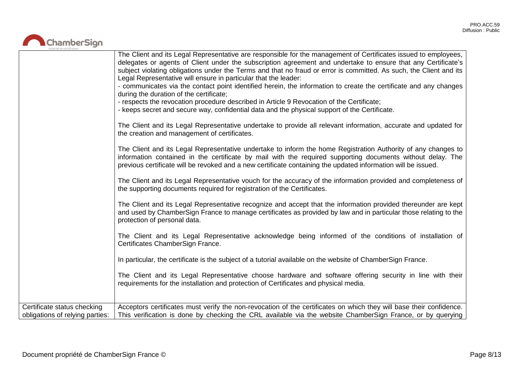

|                                 | The Client and its Legal Representative are responsible for the management of Certificates issued to employees,<br>delegates or agents of Client under the subscription agreement and undertake to ensure that any Certificate's<br>subject violating obligations under the Terms and that no fraud or error is committed. As such, the Client and its<br>Legal Representative will ensure in particular that the leader:<br>- communicates via the contact point identified herein, the information to create the certificate and any changes<br>during the duration of the certificate;<br>- respects the revocation procedure described in Article 9 Revocation of the Certificate;<br>- keeps secret and secure way, confidential data and the physical support of the Certificate.<br>The Client and its Legal Representative undertake to provide all relevant information, accurate and updated for<br>the creation and management of certificates.<br>The Client and its Legal Representative undertake to inform the home Registration Authority of any changes to<br>information contained in the certificate by mail with the required supporting documents without delay. The<br>previous certificate will be revoked and a new certificate containing the updated information will be issued.<br>The Client and its Legal Representative vouch for the accuracy of the information provided and completeness of<br>the supporting documents required for registration of the Certificates.<br>The Client and its Legal Representative recognize and accept that the information provided thereunder are kept<br>and used by ChamberSign France to manage certificates as provided by law and in particular those relating to the<br>protection of personal data.<br>The Client and its Legal Representative acknowledge being informed of the conditions of installation of<br>Certificates ChamberSign France.<br>In particular, the certificate is the subject of a tutorial available on the website of ChamberSign France.<br>The Client and its Legal Representative choose hardware and software offering security in line with their<br>requirements for the installation and protection of Certificates and physical media. |
|---------------------------------|--------------------------------------------------------------------------------------------------------------------------------------------------------------------------------------------------------------------------------------------------------------------------------------------------------------------------------------------------------------------------------------------------------------------------------------------------------------------------------------------------------------------------------------------------------------------------------------------------------------------------------------------------------------------------------------------------------------------------------------------------------------------------------------------------------------------------------------------------------------------------------------------------------------------------------------------------------------------------------------------------------------------------------------------------------------------------------------------------------------------------------------------------------------------------------------------------------------------------------------------------------------------------------------------------------------------------------------------------------------------------------------------------------------------------------------------------------------------------------------------------------------------------------------------------------------------------------------------------------------------------------------------------------------------------------------------------------------------------------------------------------------------------------------------------------------------------------------------------------------------------------------------------------------------------------------------------------------------------------------------------------------------------------------------------------------------------------------------------------------------------------------------------------------------------------------------------------------------------------------------------|
| Certificate status checking     | Acceptors certificates must verify the non-revocation of the certificates on which they will base their confidence.                                                                                                                                                                                                                                                                                                                                                                                                                                                                                                                                                                                                                                                                                                                                                                                                                                                                                                                                                                                                                                                                                                                                                                                                                                                                                                                                                                                                                                                                                                                                                                                                                                                                                                                                                                                                                                                                                                                                                                                                                                                                                                                              |
| obligations of relying parties: | This verification is done by checking the CRL available via the website ChamberSign France, or by querying                                                                                                                                                                                                                                                                                                                                                                                                                                                                                                                                                                                                                                                                                                                                                                                                                                                                                                                                                                                                                                                                                                                                                                                                                                                                                                                                                                                                                                                                                                                                                                                                                                                                                                                                                                                                                                                                                                                                                                                                                                                                                                                                       |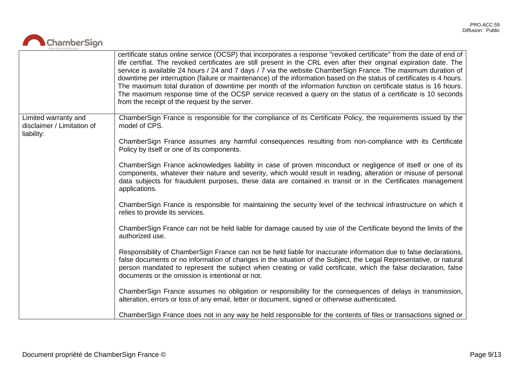

|                                                                  | certificate status online service (OCSP) that incorporates a response "revoked certificate" from the date of end of<br>life certifiat. The revoked certificates are still present in the CRL even after their original expiration date. The<br>service is available 24 hours / 24 and 7 days / 7 via the website ChamberSign France. The maximum duration of<br>downtime per interruption (failure or maintenance) of the information based on the status of certificates is 4 hours.<br>The maximum total duration of downtime per month of the information function on certificate status is 16 hours.<br>The maximum response time of the OCSP service received a query on the status of a certificate is 10 seconds<br>from the receipt of the request by the server. |
|------------------------------------------------------------------|---------------------------------------------------------------------------------------------------------------------------------------------------------------------------------------------------------------------------------------------------------------------------------------------------------------------------------------------------------------------------------------------------------------------------------------------------------------------------------------------------------------------------------------------------------------------------------------------------------------------------------------------------------------------------------------------------------------------------------------------------------------------------|
| Limited warranty and<br>disclaimer / Limitation of<br>liability: | ChamberSign France is responsible for the compliance of its Certificate Policy, the requirements issued by the<br>model of CPS.                                                                                                                                                                                                                                                                                                                                                                                                                                                                                                                                                                                                                                           |
|                                                                  | ChamberSign France assumes any harmful consequences resulting from non-compliance with its Certificate<br>Policy by itself or one of its components.                                                                                                                                                                                                                                                                                                                                                                                                                                                                                                                                                                                                                      |
|                                                                  | ChamberSign France acknowledges liability in case of proven misconduct or negligence of itself or one of its<br>components, whatever their nature and severity, which would result in reading, alteration or misuse of personal<br>data subjects for fraudulent purposes, these data are contained in transit or in the Certificates management<br>applications.                                                                                                                                                                                                                                                                                                                                                                                                          |
|                                                                  | ChamberSign France is responsible for maintaining the security level of the technical infrastructure on which it<br>relies to provide its services.                                                                                                                                                                                                                                                                                                                                                                                                                                                                                                                                                                                                                       |
|                                                                  | ChamberSign France can not be held liable for damage caused by use of the Certificate beyond the limits of the<br>authorized use.                                                                                                                                                                                                                                                                                                                                                                                                                                                                                                                                                                                                                                         |
|                                                                  | Responsibility of ChamberSign France can not be held liable for inaccurate information due to false declarations,<br>false documents or no information of changes in the situation of the Subject, the Legal Representative, or natural<br>person mandated to represent the subject when creating or valid certificate, which the false declaration, false<br>documents or the omission is intentional or not.                                                                                                                                                                                                                                                                                                                                                            |
|                                                                  | ChamberSign France assumes no obligation or responsibility for the consequences of delays in transmission,<br>alteration, errors or loss of any email, letter or document, signed or otherwise authenticated.                                                                                                                                                                                                                                                                                                                                                                                                                                                                                                                                                             |
|                                                                  | ChamberSign France does not in any way be held responsible for the contents of files or transactions signed or                                                                                                                                                                                                                                                                                                                                                                                                                                                                                                                                                                                                                                                            |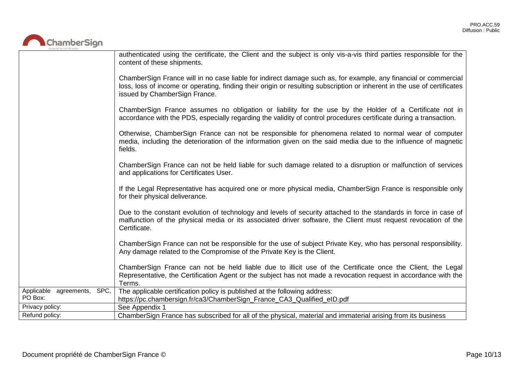

|                                | authenticated using the certificate, the Client and the subject is only vis-a-vis third parties responsible for the<br>content of these shipments.                                                                                                                           |
|--------------------------------|------------------------------------------------------------------------------------------------------------------------------------------------------------------------------------------------------------------------------------------------------------------------------|
|                                | ChamberSign France will in no case liable for indirect damage such as, for example, any financial or commercial<br>loss, loss of income or operating, finding their origin or resulting subscription or inherent in the use of certificates<br>issued by ChamberSign France. |
|                                | ChamberSign France assumes no obligation or liability for the use by the Holder of a Certificate not in<br>accordance with the PDS, especially regarding the validity of control procedures certificate during a transaction.                                                |
|                                | Otherwise, ChamberSign France can not be responsible for phenomena related to normal wear of computer<br>media, including the deterioration of the information given on the said media due to the influence of magnetic<br>fields.                                           |
|                                | ChamberSign France can not be held liable for such damage related to a disruption or malfunction of services<br>and applications for Certificates User.                                                                                                                      |
|                                | If the Legal Representative has acquired one or more physical media, ChamberSign France is responsible only<br>for their physical deliverance.                                                                                                                               |
|                                | Due to the constant evolution of technology and levels of security attached to the standards in force in case of<br>malfunction of the physical media or its associated driver software, the Client must request revocation of the<br>Certificate.                           |
|                                | ChamberSign France can not be responsible for the use of subject Private Key, who has personal responsibility.<br>Any damage related to the Compromise of the Private Key is the Client.                                                                                     |
|                                | ChamberSign France can not be held liable due to illicit use of the Certificate once the Client, the Legal<br>Representative, the Certification Agent or the subject has not made a revocation request in accordance with the<br>Terms.                                      |
| agreements, SPC,<br>Applicable | The applicable certification policy is published at the following address:                                                                                                                                                                                                   |
| PO Box:                        | https://pc.chambersign.fr/ca3/ChamberSign_France_CA3_Qualified_eID.pdf                                                                                                                                                                                                       |
| Privacy policy:                | See Appendix 1                                                                                                                                                                                                                                                               |
| Refund policy:                 | ChamberSign France has subscribed for all of the physical, material and immaterial arising from its business                                                                                                                                                                 |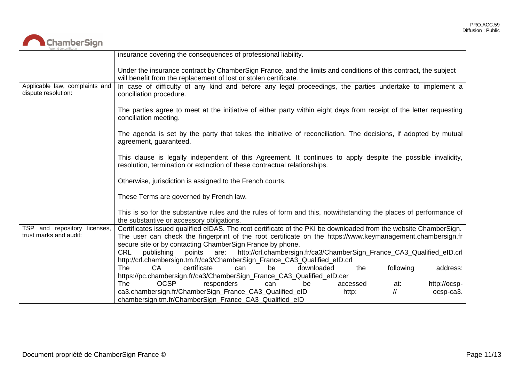# ChamberSign

|                                                       | insurance covering the consequences of professional liability.                                                                                                                            |
|-------------------------------------------------------|-------------------------------------------------------------------------------------------------------------------------------------------------------------------------------------------|
|                                                       | Under the insurance contract by ChamberSign France, and the limits and conditions of this contract, the subject<br>will benefit from the replacement of lost or stolen certificate.       |
| Applicable law, complaints and<br>dispute resolution: | In case of difficulty of any kind and before any legal proceedings, the parties undertake to implement a<br>conciliation procedure.                                                       |
|                                                       | The parties agree to meet at the initiative of either party within eight days from receipt of the letter requesting<br>conciliation meeting.                                              |
|                                                       | The agenda is set by the party that takes the initiative of reconciliation. The decisions, if adopted by mutual<br>agreement, guaranteed.                                                 |
|                                                       | This clause is legally independent of this Agreement. It continues to apply despite the possible invalidity,<br>resolution, termination or extinction of these contractual relationships. |
|                                                       | Otherwise, jurisdiction is assigned to the French courts.                                                                                                                                 |
|                                                       | These Terms are governed by French law.                                                                                                                                                   |
|                                                       | This is so for the substantive rules and the rules of form and this, notwithstanding the places of performance of<br>the substantive or accessory obligations.                            |
| TSP and repository licenses,                          | Certificates issued qualified eIDAS. The root certificate of the PKI be downloaded from the website ChamberSign.                                                                          |
| trust marks and audit:                                | The user can check the fingerprint of the root certificate on the https://www.keymanagement.chambersign.fr                                                                                |
|                                                       | secure site or by contacting ChamberSign France by phone.                                                                                                                                 |
|                                                       | CRL<br>are: http://crl.chambersign.fr/ca3/ChamberSign_France_CA3_Qualified_eID.crl<br>publishing<br>points                                                                                |
|                                                       | http://crl.chambersign.tm.fr/ca3/ChamberSign_France_CA3_Qualified_eID.crl                                                                                                                 |
|                                                       | following<br><b>The</b><br>certificate<br>downloaded<br>address:<br>CA<br>the<br>can<br>be                                                                                                |
|                                                       | https://pc.chambersign.fr/ca3/ChamberSign_France_CA3_Qualified_eID.cer                                                                                                                    |
|                                                       | <b>OCSP</b><br>The<br>http://ocsp-<br>responders<br>accessed<br>be<br>at:<br>can                                                                                                          |
|                                                       | ca3.chambersign.fr/ChamberSign_France_CA3_Qualified_eID<br>$\frac{1}{2}$<br>http:<br>ocsp-ca3.<br>chambersign.tm.fr/ChamberSign_France_CA3_Qualified_eID                                  |
|                                                       |                                                                                                                                                                                           |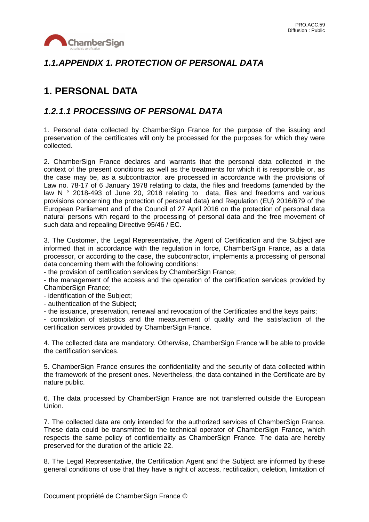

#### *1.1.APPENDIX 1. PROTECTION OF PERSONAL DATA*

### **1. PERSONAL DATA**

#### *1.2.1.1 PROCESSING OF PERSONAL DATA*

1. Personal data collected by ChamberSign France for the purpose of the issuing and preservation of the certificates will only be processed for the purposes for which they were collected.

2. ChamberSign France declares and warrants that the personal data collected in the context of the present conditions as well as the treatments for which it is responsible or, as the case may be, as a subcontractor, are processed in accordance with the provisions of Law no. 78-17 of 6 January 1978 relating to data, the files and freedoms (amended by the law N ° 2018-493 of June 20, 2018 relating to data, files and freedoms and various provisions concerning the protection of personal data) and Regulation (EU) 2016/679 of the European Parliament and of the Council of 27 April 2016 on the protection of personal data natural persons with regard to the processing of personal data and the free movement of such data and repealing Directive 95/46 / EC.

3. The Customer, the Legal Representative, the Agent of Certification and the Subject are informed that in accordance with the regulation in force, ChamberSign France, as a data processor, or according to the case, the subcontractor, implements a processing of personal data concerning them with the following conditions:

- the provision of certification services by ChamberSign France;

- the management of the access and the operation of the certification services provided by ChamberSign France;

- identification of the Subject;

- authentication of the Subject;

- the issuance, preservation, renewal and revocation of the Certificates and the keys pairs;

- compilation of statistics and the measurement of quality and the satisfaction of the certification services provided by ChamberSign France.

4. The collected data are mandatory. Otherwise, ChamberSign France will be able to provide the certification services.

5. ChamberSign France ensures the confidentiality and the security of data collected within the framework of the present ones. Nevertheless, the data contained in the Certificate are by nature public.

6. The data processed by ChamberSign France are not transferred outside the European Union.

7. The collected data are only intended for the authorized services of ChamberSign France. These data could be transmitted to the technical operator of ChamberSign France, which respects the same policy of confidentiality as ChamberSign France. The data are hereby preserved for the duration of the article 22.

8. The Legal Representative, the Certification Agent and the Subject are informed by these general conditions of use that they have a right of access, rectification, deletion, limitation of